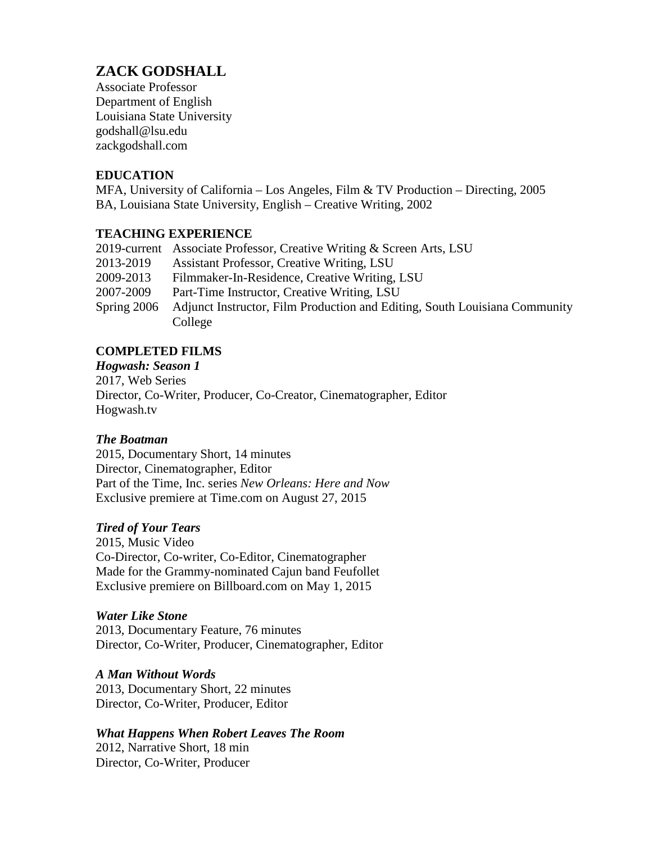# **ZACK GODSHALL**

Associate Professor Department of English Louisiana State University godshall@lsu.edu zackgodshall.com

## **EDUCATION**

MFA, University of California – Los Angeles, Film & TV Production – Directing, 2005 BA, Louisiana State University, English – Creative Writing, 2002

## **TEACHING EXPERIENCE**

|               | 2019-current Associate Professor, Creative Writing & Screen Arts, LSU      |
|---------------|----------------------------------------------------------------------------|
| 2013-2019     | <b>Assistant Professor, Creative Writing, LSU</b>                          |
| 2009-2013     | Filmmaker-In-Residence, Creative Writing, LSU                              |
| 2007-2009     | Part-Time Instructor, Creative Writing, LSU                                |
| Spring $2006$ | Adjunct Instructor, Film Production and Editing, South Louisiana Community |
|               | College                                                                    |

# **COMPLETED FILMS**

*Hogwash: Season 1* 2017, Web Series Director, Co-Writer, Producer, Co-Creator, Cinematographer, Editor Hogwash.tv

# *The Boatman*

2015, Documentary Short, 14 minutes Director, Cinematographer, Editor Part of the Time, Inc. series *New Orleans: Here and Now* Exclusive premiere at Time.com on August 27, 2015

#### *Tired of Your Tears*

2015, Music Video Co-Director, Co-writer, Co-Editor, Cinematographer Made for the Grammy-nominated Cajun band Feufollet Exclusive premiere on Billboard.com on May 1, 2015

#### *Water Like Stone*

2013, Documentary Feature, 76 minutes Director, Co-Writer, Producer, Cinematographer, Editor

#### *A Man Without Words*

2013, Documentary Short, 22 minutes Director, Co-Writer, Producer, Editor

# *What Happens When Robert Leaves The Room*

2012, Narrative Short, 18 min Director, Co-Writer, Producer